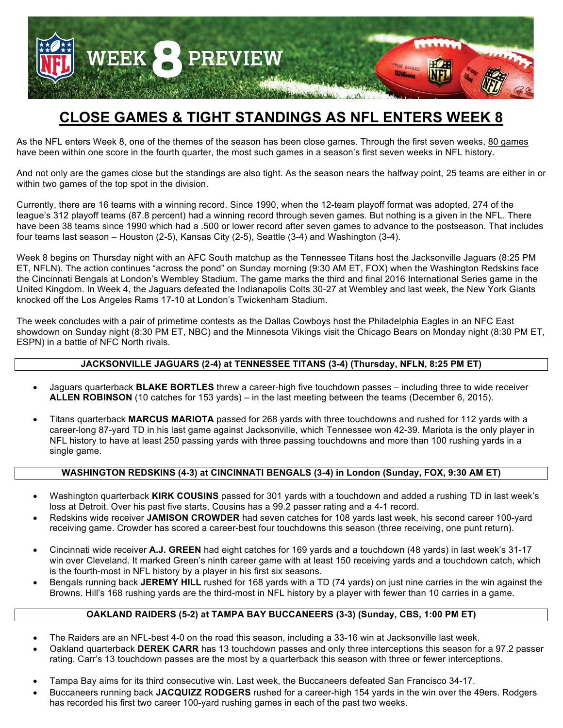

# **CLOSE GAMES & TIGHT STANDINGS AS NFL ENTERS WEEK 8**

As the NFL enters Week 8, one of the themes of the season has been close games. Through the first seven weeks, 80 games have been within one score in the fourth quarter, the most such games in a season's first seven weeks in NFL history.

And not only are the games close but the standings are also tight. As the season nears the halfway point, 25 teams are either in or within two games of the top spot in the division.

Currently, there are 16 teams with a winning record. Since 1990, when the 12-team playoff format was adopted, 274 of the league's 312 playoff teams (87.8 percent) had a winning record through seven games. But nothing is a given in the NFL. There have been 38 teams since 1990 which had a .500 or lower record after seven games to advance to the postseason. That includes four teams last season – Houston (2-5), Kansas City (2-5), Seattle (3-4) and Washington (3-4).

Week 8 begins on Thursday night with an AFC South matchup as the Tennessee Titans host the Jacksonville Jaguars (8:25 PM ET, NFLN). The action continues "across the pond" on Sunday morning (9:30 AM ET, FOX) when the Washington Redskins face the Cincinnati Bengals at London's Wembley Stadium. The game marks the third and final 2016 International Series game in the United Kingdom. In Week 4, the Jaguars defeated the Indianapolis Colts 30-27 at Wembley and last week, the New York Giants knocked off the Los Angeles Rams 17-10 at London's Twickenham Stadium.

The week concludes with a pair of primetime contests as the Dallas Cowboys host the Philadelphia Eagles in an NFC East showdown on Sunday night (8:30 PM ET, NBC) and the Minnesota Vikings visit the Chicago Bears on Monday night (8:30 PM ET, ESPN) in a battle of NFC North rivals.

#### **JACKSONVILLE JAGUARS (2-4) at TENNESSEE TITANS (3-4) (Thursday, NFLN, 8:25 PM ET)**

- Jaguars quarterback **BLAKE BORTLES** threw a career-high five touchdown passes including three to wide receiver **ALLEN ROBINSON** (10 catches for 153 yards) – in the last meeting between the teams (December 6, 2015).
- Titans quarterback **MARCUS MARIOTA** passed for 268 yards with three touchdowns and rushed for 112 yards with a career-long 87-yard TD in his last game against Jacksonville, which Tennessee won 42-39. Mariota is the only player in NFL history to have at least 250 passing yards with three passing touchdowns and more than 100 rushing yards in a single game.

#### **WASHINGTON REDSKINS (4-3) at CINCINNATI BENGALS (3-4) in London (Sunday, FOX, 9:30 AM ET)**

- Washington quarterback **KIRK COUSINS** passed for 301 yards with a touchdown and added a rushing TD in last week's loss at Detroit. Over his past five starts, Cousins has a 99.2 passer rating and a 4-1 record.
- Redskins wide receiver **JAMISON CROWDER** had seven catches for 108 yards last week, his second career 100-yard receiving game. Crowder has scored a career-best four touchdowns this season (three receiving, one punt return).
- Cincinnati wide receiver **A.J. GREEN** had eight catches for 169 yards and a touchdown (48 yards) in last week's 31-17 win over Cleveland. It marked Green's ninth career game with at least 150 receiving yards and a touchdown catch, which is the fourth-most in NFL history by a player in his first six seasons.
- Bengals running back **JEREMY HILL** rushed for 168 yards with a TD (74 yards) on just nine carries in the win against the Browns. Hill's 168 rushing yards are the third-most in NFL history by a player with fewer than 10 carries in a game.

#### **OAKLAND RAIDERS (5-2) at TAMPA BAY BUCCANEERS (3-3) (Sunday, CBS, 1:00 PM ET)**

- The Raiders are an NFL-best 4-0 on the road this season, including a 33-16 win at Jacksonville last week.
- Oakland quarterback **DEREK CARR** has 13 touchdown passes and only three interceptions this season for a 97.2 passer rating. Carr's 13 touchdown passes are the most by a quarterback this season with three or fewer interceptions.
- Tampa Bay aims for its third consecutive win. Last week, the Buccaneers defeated San Francisco 34-17.
- Buccaneers running back **JACQUIZZ RODGERS** rushed for a career-high 154 yards in the win over the 49ers. Rodgers has recorded his first two career 100-yard rushing games in each of the past two weeks.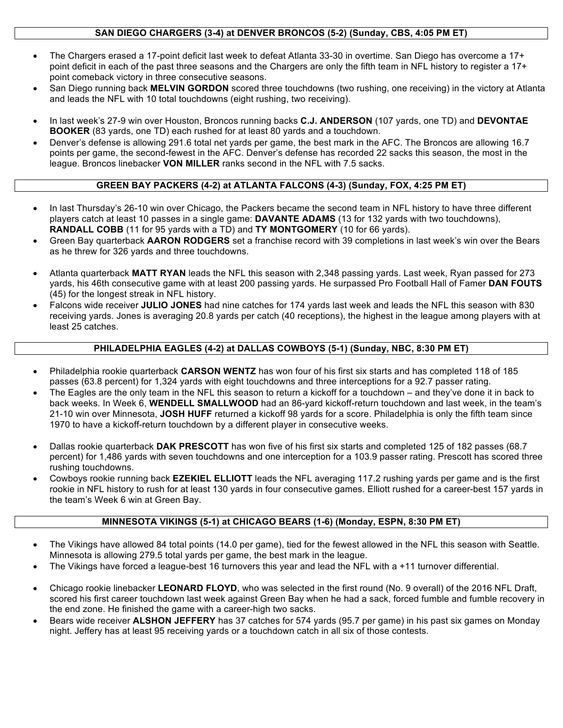### **SAN DIEGO CHARGERS (3-4) at DENVER BRONCOS (5-2) (Sunday, CBS, 4:05 PM ET)**

- The Chargers erased a 17-point deficit last week to defeat Atlanta 33-30 in overtime. San Diego has overcome a 17+ point deficit in each of the past three seasons and the Chargers are only the fifth team in NFL history to register a 17+ point comeback victory in three consecutive seasons.
- San Diego running back **MELVIN GORDON** scored three touchdowns (two rushing, one receiving) in the victory at Atlanta and leads the NFL with 10 total touchdowns (eight rushing, two receiving).
- In last week's 27-9 win over Houston, Broncos running backs **C.J. ANDERSON** (107 yards, one TD) and **DEVONTAE BOOKER** (83 yards, one TD) each rushed for at least 80 yards and a touchdown.
- Denver's defense is allowing 291.6 total net yards per game, the best mark in the AFC. The Broncos are allowing 16.7 points per game, the second-fewest in the AFC. Denver's defense has recorded 22 sacks this season, the most in the league. Broncos linebacker **VON MILLER** ranks second in the NFL with 7.5 sacks.

### **GREEN BAY PACKERS (4-2) at ATLANTA FALCONS (4-3) (Sunday, FOX, 4:25 PM ET)**

- In last Thursday's 26-10 win over Chicago, the Packers became the second team in NFL history to have three different players catch at least 10 passes in a single game: **DAVANTE ADAMS** (13 for 132 yards with two touchdowns), **RANDALL COBB** (11 for 95 yards with a TD) and **TY MONTGOMERY** (10 for 66 yards).
- Green Bay quarterback **AARON RODGERS** set a franchise record with 39 completions in last week's win over the Bears as he threw for 326 yards and three touchdowns.
- Atlanta quarterback **MATT RYAN** leads the NFL this season with 2,348 passing yards. Last week, Ryan passed for 273 yards, his 46th consecutive game with at least 200 passing yards. He surpassed Pro Football Hall of Famer **DAN FOUTS** (45) for the longest streak in NFL history.
- Falcons wide receiver **JULIO JONES** had nine catches for 174 yards last week and leads the NFL this season with 830 receiving yards. Jones is averaging 20.8 yards per catch (40 receptions), the highest in the league among players with at least 25 catches.

#### **PHILADELPHIA EAGLES (4-2) at DALLAS COWBOYS (5-1) (Sunday, NBC, 8:30 PM ET)**

- Philadelphia rookie quarterback **CARSON WENTZ** has won four of his first six starts and has completed 118 of 185 passes (63.8 percent) for 1,324 yards with eight touchdowns and three interceptions for a 92.7 passer rating.
- The Eagles are the only team in the NFL this season to return a kickoff for a touchdown and they've done it in back to back weeks. In Week 6, **WENDELL SMALLWOOD** had an 86-yard kickoff-return touchdown and last week, in the team's 21-10 win over Minnesota, **JOSH HUFF** returned a kickoff 98 yards for a score. Philadelphia is only the fifth team since 1970 to have a kickoff-return touchdown by a different player in consecutive weeks.
- Dallas rookie quarterback **DAK PRESCOTT** has won five of his first six starts and completed 125 of 182 passes (68.7 percent) for 1,486 yards with seven touchdowns and one interception for a 103.9 passer rating. Prescott has scored three rushing touchdowns.
- Cowboys rookie running back **EZEKIEL ELLIOTT** leads the NFL averaging 117.2 rushing yards per game and is the first rookie in NFL history to rush for at least 130 yards in four consecutive games. Elliott rushed for a career-best 157 yards in the team's Week 6 win at Green Bay.

### **MINNESOTA VIKINGS (5-1) at CHICAGO BEARS (1-6) (Monday, ESPN, 8:30 PM ET)**

- The Vikings have allowed 84 total points (14.0 per game), tied for the fewest allowed in the NFL this season with Seattle. Minnesota is allowing 279.5 total yards per game, the best mark in the league.
- The Vikings have forced a league-best 16 turnovers this year and lead the NFL with a +11 turnover differential.
- Chicago rookie linebacker **LEONARD FLOYD**, who was selected in the first round (No. 9 overall) of the 2016 NFL Draft, scored his first career touchdown last week against Green Bay when he had a sack, forced fumble and fumble recovery in the end zone. He finished the game with a career-high two sacks.
- Bears wide receiver **ALSHON JEFFERY** has 37 catches for 574 yards (95.7 per game) in his past six games on Monday night. Jeffery has at least 95 receiving yards or a touchdown catch in all six of those contests.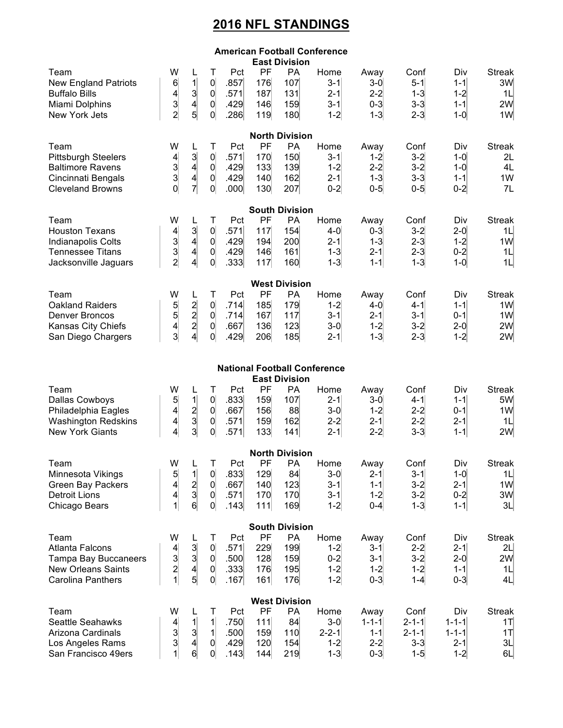## **2016 NFL STANDINGS**

| <b>American Football Conference</b><br><b>East Division</b>                                                            |                                                                                |                                                                               |                                                                             |                                     |                                |                                       |                                                    |                                                      |                                                      |                                                         |                                                               |
|------------------------------------------------------------------------------------------------------------------------|--------------------------------------------------------------------------------|-------------------------------------------------------------------------------|-----------------------------------------------------------------------------|-------------------------------------|--------------------------------|---------------------------------------|----------------------------------------------------|------------------------------------------------------|------------------------------------------------------|---------------------------------------------------------|---------------------------------------------------------------|
| Team<br><b>New England Patriots</b><br><b>Buffalo Bills</b><br>Miami Dolphins<br>New York Jets                         | W<br>$6 \mid$<br>$\begin{array}{c} 4 \\ 3 \\ 2 \end{array}$                    | L<br>1<br>$\begin{array}{c}\n3 \\ 4 \\ 5\n\end{array}$                        | Т<br> 0 <br>$\vert 0 \vert$<br> 0 <br>$\vert 0 \vert$                       | Pct<br>.857<br>.571<br>.429<br>.286 | PF<br>176<br>187<br>146<br>119 | <b>PA</b><br>107<br>131<br>159<br>180 | Home<br>$3 - 1$<br>$2 - 1$<br>$3-1$<br>$1 - 2$     | Away<br>$3-0$<br>$2 - 2$<br>$0-3$<br>$1 - 3$         | Conf<br>$5 - 1$<br>$1-3$<br>$3-3$<br>$2 - 3$         | Div<br>$1 - 1$<br>$1 - 2$<br>$1 - 1$<br>$1-0$           | <b>Streak</b><br>3W<br>1L<br>2W<br>1W                         |
| <b>North Division</b>                                                                                                  |                                                                                |                                                                               |                                                                             |                                     |                                |                                       |                                                    |                                                      |                                                      |                                                         |                                                               |
| Team<br><b>Pittsburgh Steelers</b><br><b>Baltimore Ravens</b><br>Cincinnati Bengals<br><b>Cleveland Browns</b>         | W<br>$\begin{array}{c} 4 \\ 3 \\ 3 \\ 0 \end{array}$                           | L<br>$\begin{array}{c}\n3 \\ 4 \\ 7\n\end{array}$                             | Τ<br>$\overline{0}$<br>$\vert 0 \vert$<br>$\overline{0}$<br>$\overline{0}$  | Pct<br>.571<br>.429<br>.429<br>.000 | PF<br>170<br>133<br>140<br>130 | PA<br>150<br>139<br>162<br>207        | Home<br>$3 - 1$<br>$1 - 2$<br>$2 - 1$<br>$0 - 2$   | Away<br>$1 - 2$<br>$2 - 2$<br>$1 - 3$<br>$0 - 5$     | Conf<br>$3-2$<br>$3-2$<br>$3-3$<br>$0-5$             | Div<br>$1-0$<br>$1-0$<br>$1 - 1$<br>$0 - 2$             | <b>Streak</b><br>2L<br>4L<br>1W<br>7L                         |
| <b>South Division</b>                                                                                                  |                                                                                |                                                                               |                                                                             |                                     |                                |                                       |                                                    |                                                      |                                                      |                                                         |                                                               |
| Team<br><b>Houston Texans</b><br>Indianapolis Colts<br><b>Tennessee Titans</b><br>Jacksonville Jaguars                 | W<br>$\begin{array}{c}\n 4 \\  3 \\  2\n \end{array}$                          | L<br>3 <sup>2</sup><br>$\vert 4 \vert$<br>$\vert 4 \vert$<br>$\left  \right $ | Τ<br> 0 <br> 0 <br>$\vert 0 \vert$<br>$\overline{0}$                        | Pct<br>.571<br>.429<br>.429<br>.333 | PF<br>117<br>194<br>146<br>117 | PA<br>154<br>200<br>161<br>160        | Home<br>$4-0$<br>$2 - 1$<br>$1 - 3$<br>$1 - 3$     | Away<br>$0 - 3$<br>$1 - 3$<br>$2 - 1$<br>$1 - 1$     | Conf<br>$3-2$<br>$2 - 3$<br>$2 - 3$<br>$1-3$         | Div<br>$2 - 0$<br>$1 - 2$<br>$0 - 2$<br>$1-0$           | <b>Streak</b><br>1L<br>1W<br>1L<br>1L                         |
| <b>West Division</b>                                                                                                   |                                                                                |                                                                               |                                                                             |                                     |                                |                                       |                                                    |                                                      |                                                      |                                                         |                                                               |
| Team<br><b>Oakland Raiders</b><br><b>Denver Broncos</b><br>Kansas City Chiefs<br>San Diego Chargers                    | W<br>$\begin{array}{c} 5 \\ 5 \\ 4 \\ 3 \end{array}$                           | L<br>$\begin{array}{c}\n2 \\ 2 \\ 2 \\ 4\n\end{array}$                        | Τ<br>$\overline{0}$<br>$\vert 0 \vert$<br>$\overline{0}$<br>$\overline{0}$  | Pct<br>.714<br>.714<br>.667<br>.429 | PF<br>185<br>167<br>136<br>206 | <b>PA</b><br>179<br>117<br>123<br>185 | Home<br>$1 - 2$<br>$3 - 1$<br>$3-0$<br>$2 - 1$     | Away<br>$4-0$<br>$2 - 1$<br>$1 - 2$<br>$1 - 3$       | Conf<br>$4 - 1$<br>$3 - 1$<br>$3-2$<br>$2 - 3$       | Div<br>$1 - 1$<br>$0 - 1$<br>$2 - 0$<br>$1 - 2$         | <b>Streak</b><br>1 <sub>W</sub><br>1 <sub>W</sub><br>2W<br>2W |
| <b>National Football Conference</b><br><b>East Division</b>                                                            |                                                                                |                                                                               |                                                                             |                                     |                                |                                       |                                                    |                                                      |                                                      |                                                         |                                                               |
| Team<br><b>Dallas Cowboys</b><br>Philadelphia Eagles<br><b>Washington Redskins</b><br><b>New York Giants</b>           | W<br>$\overline{5}$<br>$\frac{4}{4}$<br>$\vert 4 \vert$                        | L<br>$1\vert$<br>$\begin{array}{c}\n2 \\ 3 \\ 3\n\end{array}$                 | Τ<br>$\overline{0}$<br>$\vert 0 \vert$<br>$\vert 0 \vert$<br>$\overline{0}$ | Pct<br>.833<br>.667<br>.571<br>.571 | PF<br>159<br>156<br>159<br>133 | <b>PA</b><br>107<br>88<br>162<br>141  | Home<br>$2 - 1$<br>$3-0$<br>$2 - 2$<br>$2 - 1$     | Away<br>$3-0$<br>$1 - 2$<br>$2 - 1$<br>$2-2$         | Conf<br>$4 - 1$<br>$2 - 2$<br>$2 - 2$<br>$3-3$       | Div<br>$1 - 1$<br>$0 - 1$<br>$2 - 1$<br>$1 - 1$         | <b>Streak</b><br>5W<br>1 <sub>W</sub><br>1L<br>2W             |
| <b>North Division</b>                                                                                                  |                                                                                |                                                                               |                                                                             |                                     |                                |                                       |                                                    |                                                      |                                                      |                                                         |                                                               |
| Team<br>Minnesota Vikings<br><b>Green Bay Packers</b><br><b>Detroit Lions</b><br>Chicago Bears                         | W<br>$\begin{array}{c} 5 \\ 4 \end{array}$<br>$\left  \right $<br>$\mathbf{1}$ | L<br>$\mathbf{1}$<br>$\frac{2}{3}$<br>6 <sup>1</sup>                          | Τ<br>$\overline{0}$<br>$\vert 0 \vert$<br>$\overline{0}$<br>$\vert 0 \vert$ | Pct<br>.833<br>.667<br>.571<br>.143 | PF<br>129<br>140<br>170<br>111 | PA<br>84<br>123<br>170<br>169         | Home<br>$3-0$<br>$3-1$<br>$3-1$<br>$1 - 2$         | Away<br>$2 - 1$<br>$1 - 1$<br>$1 - 2$<br>$0 - 4$     | Conf<br>$3 - 1$<br>$3-2$<br>$3-2$<br>$1 - 3$         | Div<br>$1-0$<br>$2 - 1$<br>$0 - 2$<br>$1 - 1$           | <b>Streak</b><br>1L<br>1W<br>3W<br>3L                         |
|                                                                                                                        |                                                                                |                                                                               |                                                                             |                                     |                                | <b>South Division</b>                 |                                                    |                                                      |                                                      |                                                         |                                                               |
| Team<br><b>Atlanta Falcons</b><br><b>Tampa Bay Buccaneers</b><br><b>New Orleans Saints</b><br><b>Carolina Panthers</b> | W<br>$\begin{array}{c}\n4 \\ 3 \\ 2 \\ 1\n\end{array}$                         | L<br>$\begin{array}{c} 3 \\ 3 \\ 4 \\ 5 \end{array}$                          | Τ<br> 0 <br>$\overline{0}$<br>$\overline{0}$<br>$\overline{0}$              | Pct<br>.571<br>.500<br>.333<br>.167 | PF<br>229<br>128<br>176<br>161 | PA<br>199<br>159<br>195<br>176        | Home<br>$1 - 2$<br>$0 - 2$<br>$1 - 2$<br>$1 - 2$   | Away<br>$3 - 1$<br>$3 - 1$<br>$1 - 2$<br>$0 - 3$     | Conf<br>$2 - 2$<br>$3-2$<br>$1 - 2$<br>$1 - 4$       | Div<br>$2 - 1$<br>$2 - 0$<br>$1 - 1$<br>$0-3$           | <b>Streak</b><br>2L<br>2W<br>1L<br>4L                         |
| <b>West Division</b>                                                                                                   |                                                                                |                                                                               |                                                                             |                                     |                                |                                       |                                                    |                                                      |                                                      |                                                         |                                                               |
| Team<br><b>Seattle Seahawks</b><br>Arizona Cardinals<br>Los Angeles Rams<br>San Francisco 49ers                        | W<br>$\begin{array}{c} 4 \\ 3 \\ 3 \\ 1 \end{array}$                           | $\mathbf{1}$<br>$\vert 3 \vert$<br>$\vert 4 \vert$<br>6 <sup>1</sup>          | Τ<br>$\mathbf{1}$<br>$\mathbf{1}$<br>$\overline{0}$<br>$\overline{0}$       | Pct<br>.750<br>.500<br>.429<br>.143 | PF<br>111<br>159<br>120<br>144 | PA<br>84<br>110<br>154<br>219         | Home<br>$3-0$<br>$2 - 2 - 1$<br>$1 - 2$<br>$1 - 3$ | Away<br>$1 - 1 - 1$<br>$1 - 1$<br>$2 - 2$<br>$0 - 3$ | Conf<br>$2 - 1 - 1$<br>$2 - 1 - 1$<br>$3-3$<br>$1-5$ | Div<br>$1 - 1 - 1$<br>$1 - 1 - 1$<br>$2 - 1$<br>$1 - 2$ | <b>Streak</b><br>1T<br>1T<br>3L<br>6L                         |